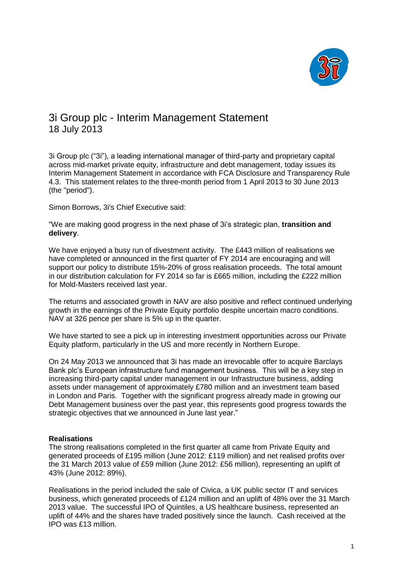

# 3i Group plc - Interim Management Statement 18 July 2013

3i Group plc ("3i"), a leading international manager of third-party and proprietary capital across mid-market private equity, infrastructure and debt management, today issues its Interim Management Statement in accordance with FCA Disclosure and Transparency Rule 4.3. This statement relates to the three-month period from 1 April 2013 to 30 June 2013 (the "period").

Simon Borrows, 3i's Chief Executive said:

"We are making good progress in the next phase of 3i's strategic plan, **transition and delivery**.

We have enjoyed a busy run of divestment activity. The £443 million of realisations we have completed or announced in the first quarter of FY 2014 are encouraging and will support our policy to distribute 15%-20% of gross realisation proceeds. The total amount in our distribution calculation for FY 2014 so far is £665 million, including the £222 million for Mold-Masters received last year.

The returns and associated growth in NAV are also positive and reflect continued underlying growth in the earnings of the Private Equity portfolio despite uncertain macro conditions. NAV at 326 pence per share is 5% up in the quarter.

We have started to see a pick up in interesting investment opportunities across our Private Equity platform, particularly in the US and more recently in Northern Europe.

On 24 May 2013 we announced that 3i has made an irrevocable offer to acquire Barclays Bank plc's European infrastructure fund management business. This will be a key step in increasing third-party capital under management in our Infrastructure business, adding assets under management of approximately £780 million and an investment team based in London and Paris. Together with the significant progress already made in growing our Debt Management business over the past year, this represents good progress towards the strategic objectives that we announced in June last year."

## **Realisations**

The strong realisations completed in the first quarter all came from Private Equity and generated proceeds of £195 million (June 2012: £119 million) and net realised profits over the 31 March 2013 value of £59 million (June 2012: £56 million), representing an uplift of 43% (June 2012: 89%).

Realisations in the period included the sale of Civica, a UK public sector IT and services business, which generated proceeds of £124 million and an uplift of 48% over the 31 March 2013 value. The successful IPO of Quintiles, a US healthcare business, represented an uplift of 44% and the shares have traded positively since the launch. Cash received at the IPO was £13 million.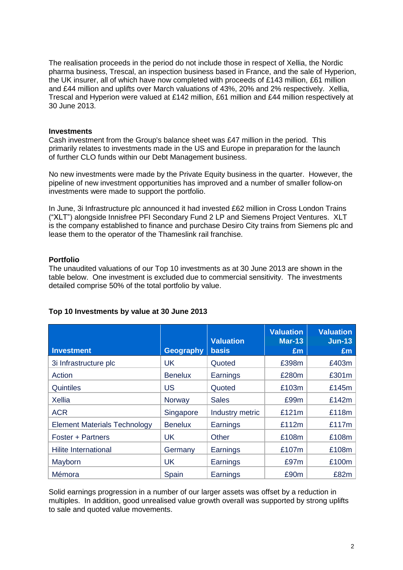The realisation proceeds in the period do not include those in respect of Xellia, the Nordic pharma business, Trescal, an inspection business based in France, and the sale of Hyperion, the UK insurer, all of which have now completed with proceeds of £143 million, £61 million and £44 million and uplifts over March valuations of 43%, 20% and 2% respectively. Xellia, Trescal and Hyperion were valued at £142 million, £61 million and £44 million respectively at 30 June 2013.

#### **Investments**

Cash investment from the Group's balance sheet was £47 million in the period. This primarily relates to investments made in the US and Europe in preparation for the launch of further CLO funds within our Debt Management business.

No new investments were made by the Private Equity business in the quarter. However, the pipeline of new investment opportunities has improved and a number of smaller follow-on investments were made to support the portfolio.

In June, 3i Infrastructure plc announced it had invested £62 million in Cross London Trains ("XLT") alongside Innisfree PFI Secondary Fund 2 LP and Siemens Project Ventures. XLT is the company established to finance and purchase Desiro City trains from Siemens plc and lease them to the operator of the Thameslink rail franchise.

#### **Portfolio**

The unaudited valuations of our Top 10 investments as at 30 June 2013 are shown in the table below. One investment is excluded due to commercial sensitivity. The investments detailed comprise 50% of the total portfolio by value.

| <b>Investment</b>                   | <b>Geography</b> | <b>Valuation</b><br><b>basis</b> | <b>Valuation</b><br><b>Mar-13</b><br>£m | <b>Valuation</b><br><b>Jun-13</b><br>£m |
|-------------------------------------|------------------|----------------------------------|-----------------------------------------|-----------------------------------------|
| 3i Infrastructure plc               | <b>UK</b>        | Quoted                           | £398m                                   | £403m                                   |
| Action                              | <b>Benelux</b>   | Earnings                         | £280m                                   | £301m                                   |
| <b>Quintiles</b>                    | <b>US</b>        | Quoted                           | £103m                                   | £145m                                   |
| <b>Xellia</b>                       | Norway           | <b>Sales</b>                     | £99m                                    | £142m                                   |
| <b>ACR</b>                          | Singapore        | Industry metric                  | £121m                                   | £118m                                   |
| <b>Element Materials Technology</b> | <b>Benelux</b>   | Earnings                         | £112m                                   | £117m                                   |
| Foster + Partners                   | UK.              | Other                            | £108m                                   | £108m                                   |
| <b>Hilite International</b>         | Germany          | Earnings                         | £107m                                   | £108m                                   |
| Mayborn                             | UK.              | Earnings                         | £97m                                    | £100m                                   |
| Mémora                              | Spain            | Earnings                         | £90m                                    | £82m                                    |

## **Top 10 Investments by value at 30 June 2013**

Solid earnings progression in a number of our larger assets was offset by a reduction in multiples. In addition, good unrealised value growth overall was supported by strong uplifts to sale and quoted value movements.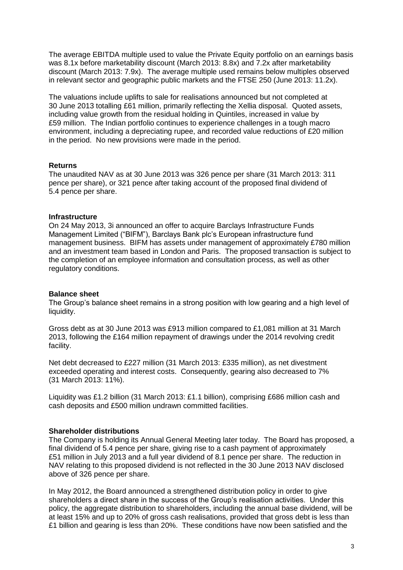The average EBITDA multiple used to value the Private Equity portfolio on an earnings basis was 8.1x before marketability discount (March 2013: 8.8x) and 7.2x after marketability discount (March 2013: 7.9x). The average multiple used remains below multiples observed in relevant sector and geographic public markets and the FTSE 250 (June 2013: 11.2x).

The valuations include uplifts to sale for realisations announced but not completed at 30 June 2013 totalling £61 million, primarily reflecting the Xellia disposal. Quoted assets, including value growth from the residual holding in Quintiles, increased in value by £59 million. The Indian portfolio continues to experience challenges in a tough macro environment, including a depreciating rupee, and recorded value reductions of £20 million in the period. No new provisions were made in the period.

#### **Returns**

The unaudited NAV as at 30 June 2013 was 326 pence per share (31 March 2013: 311 pence per share), or 321 pence after taking account of the proposed final dividend of 5.4 pence per share.

#### **Infrastructure**

On 24 May 2013, 3i announced an offer to acquire Barclays Infrastructure Funds Management Limited ("BIFM"), Barclays Bank plc's European infrastructure fund management business. BIFM has assets under management of approximately £780 million and an investment team based in London and Paris. The proposed transaction is subject to the completion of an employee information and consultation process, as well as other regulatory conditions.

## **Balance sheet**

The Group's balance sheet remains in a strong position with low gearing and a high level of liquidity.

Gross debt as at 30 June 2013 was £913 million compared to £1,081 million at 31 March 2013, following the £164 million repayment of drawings under the 2014 revolving credit facility.

Net debt decreased to £227 million (31 March 2013: £335 million), as net divestment exceeded operating and interest costs. Consequently, gearing also decreased to 7% (31 March 2013: 11%).

Liquidity was £1.2 billion (31 March 2013: £1.1 billion), comprising £686 million cash and cash deposits and £500 million undrawn committed facilities.

## **Shareholder distributions**

The Company is holding its Annual General Meeting later today. The Board has proposed, a final dividend of 5.4 pence per share, giving rise to a cash payment of approximately £51 million in July 2013 and a full year dividend of 8.1 pence per share. The reduction in NAV relating to this proposed dividend is not reflected in the 30 June 2013 NAV disclosed above of 326 pence per share.

In May 2012, the Board announced a strengthened distribution policy in order to give shareholders a direct share in the success of the Group's realisation activities. Under this policy, the aggregate distribution to shareholders, including the annual base dividend, will be at least 15% and up to 20% of gross cash realisations, provided that gross debt is less than £1 billion and gearing is less than 20%. These conditions have now been satisfied and the